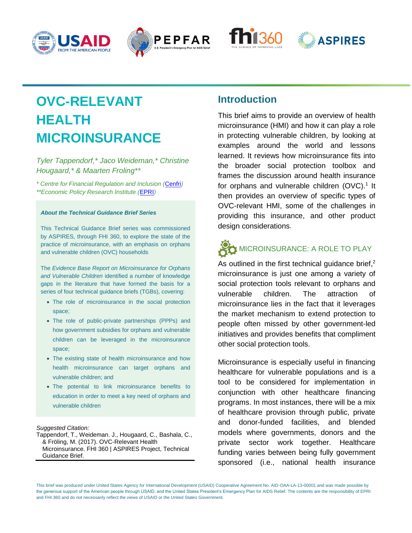







# **OVC-RELEVANT HEALTH MICROINSURANCE**

*Tyler Tappendorf,\* Jaco Weideman,\* Christine Hougaard,\* & Maarten Froling\*\**

*\* Centre for Financial Regulation and Inclusion (*[Cenfri](http://cenfri.org/)*) \*\*Economic Policy Research Institute (*[EPRI](http://epri.org.za/)*)*

#### *About the Technical Guidance Brief Series*

This Technical Guidance Brief series was commissioned by ASPIRES, through FHI 360, to explore the state of the practice of microinsurance, with an emphasis on orphans and vulnerable children (OVC) households

The *Evidence Base Report on Microinsurance for Orphans and Vulnerable Children* identified a number of knowledge gaps in the literature that have formed the basis for a series of four technical guidance briefs (TGBs), covering:

- The role of microinsurance in the social protection space;
- The role of public-private partnerships (PPPs) and how government subsidies for orphans and vulnerable children can be leveraged in the microinsurance space;
- The existing state of health microinsurance and how health microinsurance can target orphans and vulnerable children; and
- The potential to link microinsurance benefits to education in order to meet a key need of orphans and vulnerable children

### *Suggested Citation:*

Tappendorf, T., Weideman. J., Hougaard, C., Bashala, C., & Fröling, M. (2017). OVC-Relevant Health Microinsurance. FHI 360 | ASPIRES Project, Technical Guidance Brief.

## **Introduction**

This brief aims to provide an overview of health microinsurance (HMI) and how it can play a role in protecting vulnerable children, by looking at examples around the world and lessons learned. It reviews how microinsurance fits into the broader social protection toolbox and frames the discussion around health insurance for orphans and vulnerable children  $(OVC)$ .<sup>1</sup> It then provides an overview of specific types of OVC-relevant HMI, some of the challenges in providing this insurance, and other product design considerations.

# **MICROINSURANCE: A ROLE TO PLAY**

As outlined in the first technical guidance brief,<sup>2</sup> microinsurance is just one among a variety of social protection tools relevant to orphans and vulnerable children. The attraction of microinsurance lies in the fact that it leverages the market mechanism to extend protection to people often missed by other government-led initiatives and provides benefits that compliment other social protection tools.

Microinsurance is especially useful in financing healthcare for vulnerable populations and is a tool to be considered for implementation in conjunction with other healthcare financing programs. In most instances, there will be a mix of healthcare provision through public, private and donor-funded facilities, and blended models where governments, donors and the private sector work together. Healthcare funding varies between being fully government sponsored (i.e., national health insurance

This brief was produced under United States Agency for International Development (USAID) Cooperative Agreement No. AID-OAA-LA-13-00001 and was made possible by the generous support of the American people through USAID, and the United States President's Emergency Plan for AIDS Relief. The contents are the responsibility of EPRI and FHI 360 and do not necessarily reflect the views of USAID or the United States Government.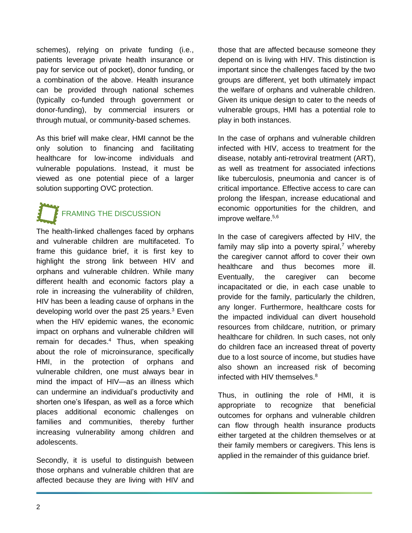schemes), relying on private funding (i.e., patients leverage private health insurance or pay for service out of pocket), donor funding, or a combination of the above. Health insurance can be provided through national schemes (typically co-funded through government or donor-funding), by commercial insurers or through mutual, or community-based schemes.

As this brief will make clear, HMI cannot be the only solution to financing and facilitating healthcare for low-income individuals and vulnerable populations. Instead, it must be viewed as one potential piece of a larger solution supporting OVC protection.

# **FRAMING THE DISCUSSION**

The health-linked challenges faced by orphans and vulnerable children are multifaceted. To frame this guidance brief, it is first key to highlight the strong link between HIV and orphans and vulnerable children. While many different health and economic factors play a role in increasing the vulnerability of children, HIV has been a leading cause of orphans in the developing world over the past 25 years.<sup>3</sup> Even when the HIV epidemic wanes, the economic impact on orphans and vulnerable children will remain for decades. <sup>4</sup> Thus, when speaking about the role of microinsurance, specifically HMI, in the protection of orphans and vulnerable children, one must always bear in mind the impact of HIV—as an illness which can undermine an individual's productivity and shorten one's lifespan, as well as a force which places additional economic challenges on families and communities, thereby further increasing vulnerability among children and adolescents.

Secondly, it is useful to distinguish between those orphans and vulnerable children that are affected because they are living with HIV and

those that are affected because someone they depend on is living with HIV. This distinction is important since the challenges faced by the two groups are different, yet both ultimately impact the welfare of orphans and vulnerable children. Given its unique design to cater to the needs of vulnerable groups, HMI has a potential role to play in both instances.

In the case of orphans and vulnerable children infected with HIV, access to treatment for the disease, notably anti-retroviral treatment (ART), as well as treatment for associated infections like tuberculosis, pneumonia and cancer is of critical importance. Effective access to care can prolong the lifespan, increase educational and economic opportunities for the children, and improve welfare. 5,6

In the case of caregivers affected by HIV, the family may slip into a poverty spiral,<sup>7</sup> whereby the caregiver cannot afford to cover their own healthcare and thus becomes more ill. Eventually, the caregiver can become incapacitated or die, in each case unable to provide for the family, particularly the children, any longer. Furthermore, healthcare costs for the impacted individual can divert household resources from childcare, nutrition, or primary healthcare for children. In such cases, not only do children face an increased threat of poverty due to a lost source of income, but studies have also shown an increased risk of becoming infected with HIV themselves. $8$ 

Thus, in outlining the role of HMI, it is appropriate to recognize that beneficial outcomes for orphans and vulnerable children can flow through health insurance products either targeted at the children themselves or at their family members or caregivers. This lens is applied in the remainder of this guidance brief.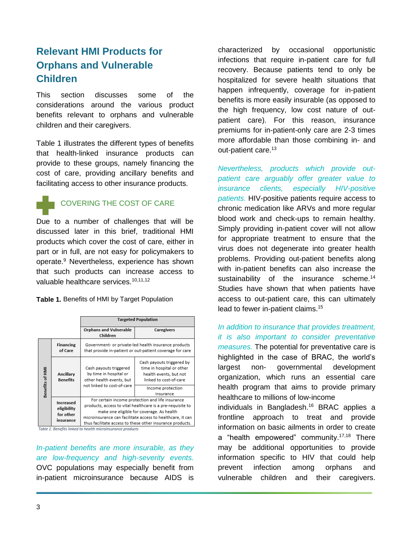# **Relevant HMI Products for Orphans and Vulnerable Children**

This section discusses some of the considerations around the various product benefits relevant to orphans and vulnerable children and their caregivers.

Table 1 illustrates the different types of benefits that health-linked insurance products can provide to these groups, namely financing the cost of care, providing ancillary benefits and facilitating access to other insurance products.



Due to a number of challenges that will be discussed later in this brief, traditional HMI products which cover the cost of care, either in part or in full, are not easy for policymakers to operate.<sup>9</sup> Nevertheless, experience has shown that such products can increase access to valuable healthcare services.<sup>10,11,12</sup>

**Table 1.** Benefits of HMI by Target Population

|                 |                                                    | <b>Targeted Population</b>                                                                                                                                                                                                                                                             |                                                                                                            |
|-----------------|----------------------------------------------------|----------------------------------------------------------------------------------------------------------------------------------------------------------------------------------------------------------------------------------------------------------------------------------------|------------------------------------------------------------------------------------------------------------|
|                 |                                                    | <b>Orphans and Vulnerable</b><br>Children                                                                                                                                                                                                                                              | Caregivers                                                                                                 |
| Benefits of HMI | <b>Financing</b><br>of Care                        | Government- or private-led health insurance products<br>that provide in-patient or out-patient coverage for care                                                                                                                                                                       |                                                                                                            |
|                 | Ancillary<br><b>Benefits</b>                       | Cash payouts triggered<br>by time in hospital or<br>other health events, but<br>not linked to cost-of-care                                                                                                                                                                             | Cash payouts triggered by<br>time in hospital or other<br>health events, but not<br>linked to cost-of-care |
|                 |                                                    |                                                                                                                                                                                                                                                                                        | Income protection<br>insurance                                                                             |
|                 | Increased<br>eligibility<br>for other<br>insurance | For certain income protection and life insurance<br>products, access to vital healthcare is a pre-requisite to<br>make one eligible for coverage. As health<br>microinsurance can facilitate access to healthcare, it can<br>thus facilitate access to these other insurance products. |                                                                                                            |

Table 1: Benefits linked to health microinsurance products

*In-patient benefits are more insurable, as they are low-frequency and high-severity events.* 

OVC populations may especially benefit from in-patient microinsurance because AIDS is

characterized by occasional opportunistic infections that require in-patient care for full recovery. Because patients tend to only be hospitalized for severe health situations that happen infrequently, coverage for in-patient benefits is more easily insurable (as opposed to the high frequency, low cost nature of outpatient care). For this reason, insurance premiums for in-patient-only care are 2-3 times more affordable than those combining in- and out-patient care.<sup>13</sup>

*Nevertheless, products which provide outpatient care arguably offer greater value to insurance clients, especially HIV-positive patients.* HIV-positive patients require access to chronic medication like ARVs and more regular blood work and check-ups to remain healthy. Simply providing in-patient cover will not allow for appropriate treatment to ensure that the virus does not degenerate into greater health problems. Providing out-patient benefits along with in-patient benefits can also increase the sustainability of the insurance scheme.<sup>14</sup> Studies have shown that when patients have access to out-patient care, this can ultimately lead to fewer in-patient claims.<sup>15</sup>

*In addition to insurance that provides treatment, it is also important to consider preventative measures.* The potential for preventative care is highlighted in the case of BRAC, the world's largest non- governmental development organization, which runs an essential care health program that aims to provide primary healthcare to millions of low-income individuals in Bangladesh.<sup>16</sup> BRAC applies a frontline approach to treat and provide information on basic ailments in order to create a "health empowered" community.<sup>17,18</sup> There

may be additional opportunities to provide information specific to HIV that could help prevent infection among orphans and vulnerable children and their caregivers.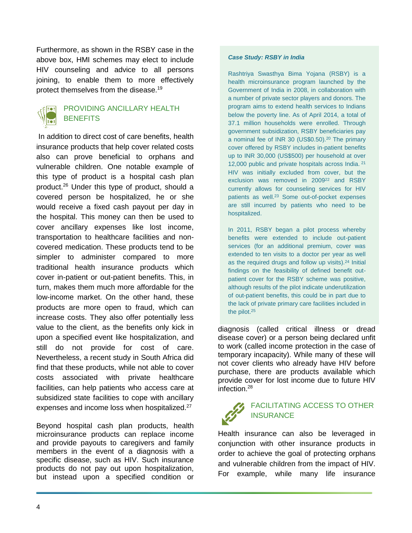Furthermore, as shown in the RSBY case in the above box, HMI schemes may elect to include HIV counseling and advice to all persons joining, to enable them to more effectively protect themselves from the disease.<sup>19</sup>



#### PROVIDING ANCILLARY HEALTH **BENEFITS**

In addition to direct cost of care benefits, health insurance products that help cover related costs also can prove beneficial to orphans and vulnerable children. One notable example of this type of product is a hospital cash plan product.<sup>26</sup> Under this type of product, should a covered person be hospitalized, he or she would receive a fixed cash payout per day in the hospital. This money can then be used to cover ancillary expenses like lost income, transportation to healthcare facilities and noncovered medication. These products tend to be simpler to administer compared to more traditional health insurance products which cover in-patient or out-patient benefits. This, in turn, makes them much more affordable for the low-income market. On the other hand, these products are more open to fraud, which can increase costs. They also offer potentially less value to the client, as the benefits only kick in upon a specified event like hospitalization, and still do not provide for cost of care. Nevertheless, a recent study in South Africa did find that these products, while not able to cover costs associated with private healthcare facilities, can help patients who access care at subsidized state facilities to cope with ancillary expenses and income loss when hospitalized.<sup>27</sup>

Beyond hospital cash plan products, health microinsurance products can replace income and provide payouts to caregivers and family members in the event of a diagnosis with a specific disease, such as HIV. Such insurance products do not pay out upon hospitalization, but instead upon a specified condition or

#### *Case Study: RSBY in India*

Rashtriya Swasthya Bima Yojana (RSBY) is a health microinsurance program launched by the Government of India in 2008, in collaboration with a number of private sector players and donors. The program aims to extend health services to Indians below the poverty line. As of April 2014, a total of 37.1 million households were enrolled. Through government subsidization, RSBY beneficiaries pay a nominal fee of INR 30 (US\$0.50).<sup>20</sup> The primary cover offered by RSBY includes in-patient benefits up to INR 30,000 (US\$500) per household at over 12,000 public and private hospitals across India. <sup>21</sup> HIV was initially excluded from cover, but the exclusion was removed in 2009<sup>22</sup> and RSBY currently allows for counseling services for HIV patients as well.<sup>23</sup> Some out-of-pocket expenses are still incurred by patients who need to be hospitalized.

In 2011, RSBY began a pilot process whereby benefits were extended to include out-patient services (for an additional premium, cover was extended to ten visits to a doctor per year as well as the required drugs and follow up visits).<sup>24</sup> Initial findings on the feasibility of defined benefit outpatient cover for the RSBY scheme was positive, although results of the pilot indicate underutilization of out-patient benefits, this could be in part due to the lack of private primary care facilities included in the pilot.25

diagnosis (called critical illness or dread disease cover) or a person being declared unfit to work (called income protection in the case of temporary incapacity). While many of these will not cover clients who already have HIV before purchase, there are products available which provide cover for lost income due to future HIV infection.<sup>28</sup>

#### FACILITATING ACCESS TO OTHER **INSURANCE**

Health insurance can also be leveraged in conjunction with other insurance products in order to achieve the goal of protecting orphans and vulnerable children from the impact of HIV. For example, while many life insurance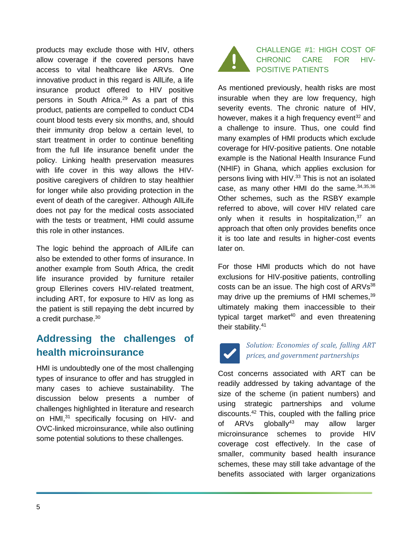products may exclude those with HIV, others allow coverage if the covered persons have access to vital healthcare like ARVs. One innovative product in this regard is AllLife, a life insurance product offered to HIV positive persons in South Africa. <sup>29</sup> As a part of this product, patients are compelled to conduct CD4 count blood tests every six months, and, should their immunity drop below a certain level, to start treatment in order to continue benefiting from the full life insurance benefit under the policy. Linking health preservation measures with life cover in this way allows the HIVpositive caregivers of children to stay healthier for longer while also providing protection in the event of death of the caregiver. Although AllLife does not pay for the medical costs associated with the tests or treatment, HMI could assume this role in other instances.

The logic behind the approach of AllLife can also be extended to other forms of insurance. In another example from South Africa, the credit life insurance provided by furniture retailer group Ellerines covers HIV-related treatment, including ART, for exposure to HIV as long as the patient is still repaying the debt incurred by a credit purchase. 30

# **Addressing the challenges of health microinsurance**

HMI is undoubtedly one of the most challenging types of insurance to offer and has struggled in many cases to achieve sustainability. The discussion below presents a number of challenges highlighted in literature and research on HMI,<sup>31</sup> specifically focusing on HIV- and OVC-linked microinsurance, while also outlining some potential solutions to these challenges.



As mentioned previously, health risks are most insurable when they are low frequency, high severity events. The chronic nature of HIV, however, makes it a high frequency event $32$  and a challenge to insure. Thus, one could find many examples of HMI products which exclude coverage for HIV-positive patients. One notable example is the National Health Insurance Fund (NHIF) in Ghana, which applies exclusion for persons living with HIV.<sup>33</sup> This is not an isolated case, as many other HMI do the same. 34,35,36 Other schemes, such as the RSBY example referred to above, will cover HIV related care only when it results in hospitalization, <sup>37</sup> an approach that often only provides benefits once it is too late and results in higher-cost events later on.

For those HMI products which do not have exclusions for HIV-positive patients, controlling costs can be an issue. The high cost of  $ARVs^{38}$ may drive up the premiums of HMI schemes,<sup>39</sup> ultimately making them inaccessible to their typical target market<sup>40</sup> and even threatening their stability. 41

#### *Solution: Economies of scale, falling ART prices, and government partnerships*

Cost concerns associated with ART can be readily addressed by taking advantage of the size of the scheme (in patient numbers) and using strategic partnerships and volume discounts. <sup>42</sup> This, coupled with the falling price of  $ARVs$  globally<sup>43</sup> may allow larger microinsurance schemes to provide HIV coverage cost effectively. In the case of smaller, community based health insurance schemes, these may still take advantage of the benefits associated with larger organizations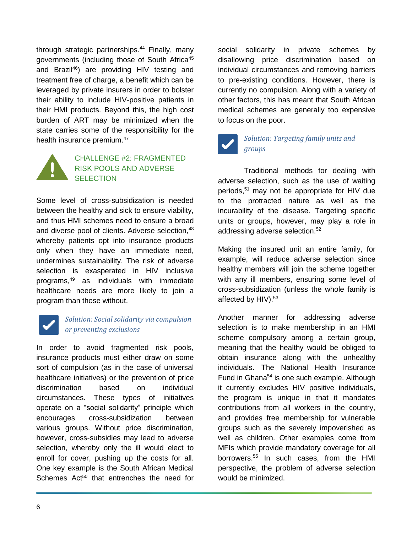through strategic partnerships. <sup>44</sup> Finally, many governments (including those of South Africa<sup>45</sup> and Brazil<sup>46</sup>) are providing HIV testing and treatment free of charge, a benefit which can be leveraged by private insurers in order to bolster their ability to include HIV-positive patients in their HMI products. Beyond this, the high cost burden of ART may be minimized when the state carries some of the responsibility for the health insurance premium.<sup>47</sup>



#### CHALLENGE #2: FRAGMENTED RISK POOLS AND ADVERSE **SELECTION**

Some level of cross-subsidization is needed between the healthy and sick to ensure viability, and thus HMI schemes need to ensure a broad and diverse pool of clients. Adverse selection, 48 whereby patients opt into insurance products only when they have an immediate need, undermines sustainability. The risk of adverse selection is exasperated in HIV inclusive programs, <sup>49</sup> as individuals with immediate healthcare needs are more likely to join a program than those without.

#### *Solution: Social solidarity via compulsion or preventing exclusions*

In order to avoid fragmented risk pools, insurance products must either draw on some sort of compulsion (as in the case of universal healthcare initiatives) or the prevention of price discrimination based on individual circumstances. These types of initiatives operate on a "social solidarity" principle which encourages cross-subsidization between various groups. Without price discrimination, however, cross-subsidies may lead to adverse selection, whereby only the ill would elect to enroll for cover, pushing up the costs for all. One key example is the South African Medical Schemes Act<sup>50</sup> that entrenches the need for

social solidarity in private schemes by disallowing price discrimination based on individual circumstances and removing barriers to pre-existing conditions. However, there is currently no compulsion. Along with a variety of other factors, this has meant that South African medical schemes are generally too expensive to focus on the poor.



#### *Solution: Targeting family units and groups*

Traditional methods for dealing with adverse selection, such as the use of waiting periods, <sup>51</sup> may not be appropriate for HIV due to the protracted nature as well as the incurability of the disease. Targeting specific units or groups, however, may play a role in addressing adverse selection. 52

Making the insured unit an entire family, for example, will reduce adverse selection since healthy members will join the scheme together with any ill members, ensuring some level of cross-subsidization (unless the whole family is affected by HIV).<sup>53</sup>

Another manner for addressing adverse selection is to make membership in an HMI scheme compulsory among a certain group, meaning that the healthy would be obliged to obtain insurance along with the unhealthy individuals. The National Health Insurance Fund in Ghana<sup>54</sup> is one such example. Although it currently excludes HIV positive individuals, the program is unique in that it mandates contributions from all workers in the country, and provides free membership for vulnerable groups such as the severely impoverished as well as children. Other examples come from MFIs which provide mandatory coverage for all borrowers.<sup>55</sup> In such cases, from the HMI perspective, the problem of adverse selection would be minimized.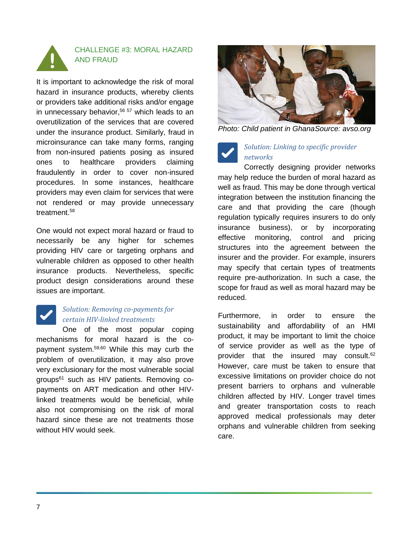

### CHALLENGE #3: MORAL HAZARD AND FRAUD

It is important to acknowledge the risk of moral hazard in insurance products, whereby clients or providers take additional risks and/or engage in unnecessary behavior, <sup>56</sup> <sup>57</sup> which leads to an overutilization of the services that are covered under the insurance product. Similarly, fraud in microinsurance can take many forms, ranging from non-insured patients posing as insured ones to healthcare providers claiming fraudulently in order to cover non-insured procedures. In some instances, healthcare providers may even claim for services that were not rendered or may provide unnecessary treatment. 58

One would not expect moral hazard or fraud to necessarily be any higher for schemes providing HIV care or targeting orphans and vulnerable children as opposed to other health insurance products. Nevertheless, specific product design considerations around these issues are important.



#### *Solution: Removing co-payments for certain HIV-linked treatments*

One of the most popular coping mechanisms for moral hazard is the copayment system.59,60 While this may curb the problem of overutilization, it may also prove very exclusionary for the most vulnerable social groups<sup>61</sup> such as HIV patients. Removing copayments on ART medication and other HIVlinked treatments would be beneficial, while also not compromising on the risk of moral hazard since these are not treatments those without HIV would seek.



*Photo: Child patient in GhanaSource: avso.org*

### *Solution: Linking to specific provider networks*

Correctly designing provider networks may help reduce the burden of moral hazard as well as fraud. This may be done through vertical integration between the institution financing the care and that providing the care (though regulation typically requires insurers to do only insurance business), or by incorporating effective monitoring, control and pricing structures into the agreement between the insurer and the provider. For example, insurers may specify that certain types of treatments require pre-authorization. In such a case, the scope for fraud as well as moral hazard may be reduced.

Furthermore, in order to ensure the sustainability and affordability of an HMI product, it may be important to limit the choice of service provider as well as the type of provider that the insured may consult.<sup>62</sup> However, care must be taken to ensure that excessive limitations on provider choice do not present barriers to orphans and vulnerable children affected by HIV. Longer travel times and greater transportation costs to reach approved medical professionals may deter orphans and vulnerable children from seeking care.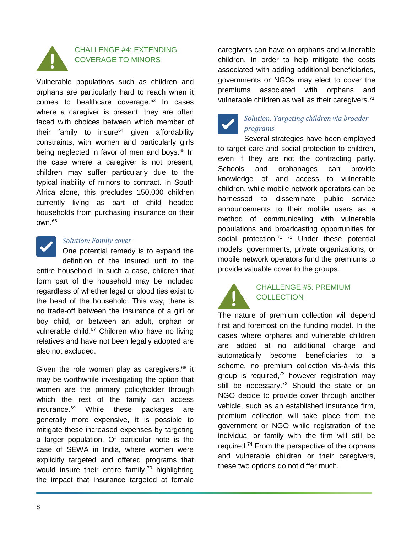

## CHALLENGE #4: EXTENDING COVERAGE TO MINORS

Vulnerable populations such as children and orphans are particularly hard to reach when it comes to healthcare coverage.<sup>63</sup> In cases where a caregiver is present, they are often faced with choices between which member of their family to insure $64$  given affordability constraints, with women and particularly girls being neglected in favor of men and boys. <sup>65</sup> In the case where a caregiver is not present, children may suffer particularly due to the typical inability of minors to contract. In South Africa alone, this precludes 150,000 children currently living as part of child headed households from purchasing insurance on their own. 66



#### *Solution: Family cover*

One potential remedy is to expand the definition of the insured unit to the entire household. In such a case, children that form part of the household may be included regardless of whether legal or blood ties exist to the head of the household. This way, there is no trade-off between the insurance of a girl or boy child, or between an adult, orphan or vulnerable child.<sup>67</sup> Children who have no living relatives and have not been legally adopted are also not excluded.

Given the role women play as caregivers,<sup>68</sup> it may be worthwhile investigating the option that women are the primary policyholder through which the rest of the family can access insurance. <sup>69</sup> While these packages are generally more expensive, it is possible to mitigate these increased expenses by targeting a larger population. Of particular note is the case of SEWA in India, where women were explicitly targeted and offered programs that would insure their entire family,<sup>70</sup> highlighting the impact that insurance targeted at female

caregivers can have on orphans and vulnerable children. In order to help mitigate the costs associated with adding additional beneficiaries, governments or NGOs may elect to cover the premiums associated with orphans and vulnerable children as well as their caregivers.<sup>71</sup>



#### *Solution: Targeting children via broader programs*

Several strategies have been employed to target care and social protection to children, even if they are not the contracting party. Schools and orphanages can provide knowledge of and access to vulnerable children, while mobile network operators can be harnessed to disseminate public service announcements to their mobile users as a method of communicating with vulnerable populations and broadcasting opportunities for social protection.<sup>71 72</sup> Under these potential models, governments, private organizations, or mobile network operators fund the premiums to provide valuable cover to the groups.



#### CHALLENGE #5: PREMIUM **COLLECTION**

The nature of premium collection will depend first and foremost on the funding model. In the cases where orphans and vulnerable children are added at no additional charge and automatically become beneficiaries to a scheme, no premium collection vis-à-vis this group is required,<sup>72</sup> however registration may still be necessary.<sup>73</sup> Should the state or an NGO decide to provide cover through another vehicle, such as an established insurance firm, premium collection will take place from the government or NGO while registration of the individual or family with the firm will still be required.<sup>74</sup> From the perspective of the orphans and vulnerable children or their caregivers, these two options do not differ much.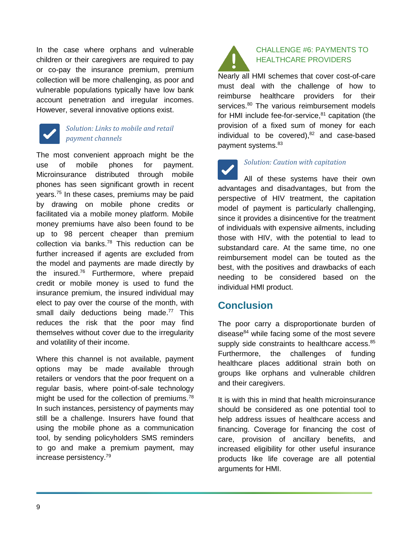In the case where orphans and vulnerable children or their caregivers are required to pay or co-pay the insurance premium, premium collection will be more challenging, as poor and vulnerable populations typically have low bank account penetration and irregular incomes. However, several innovative options exist.



#### *Solution: Links to mobile and retail payment channels*

The most convenient approach might be the use of mobile phones for payment. Microinsurance distributed through mobile phones has seen significant growth in recent years.<sup>75</sup> In these cases, premiums may be paid by drawing on mobile phone credits or facilitated via a mobile money platform. Mobile money premiums have also been found to be up to 98 percent cheaper than premium collection via banks.<sup>78</sup> This reduction can be further increased if agents are excluded from the model and payments are made directly by the insured.<sup>76</sup> Furthermore, where prepaid credit or mobile money is used to fund the insurance premium, the insured individual may elect to pay over the course of the month, with small daily deductions being made.<sup>77</sup> This reduces the risk that the poor may find themselves without cover due to the irregularity and volatility of their income.

Where this channel is not available, payment options may be made available through retailers or vendors that the poor frequent on a regular basis, where point-of-sale technology might be used for the collection of premiums.<sup>78</sup> In such instances, persistency of payments may still be a challenge. Insurers have found that using the mobile phone as a communication tool, by sending policyholders SMS reminders to go and make a premium payment, may increase persistency. 79



#### CHALLENGE #6: PAYMENTS TO HEALTHCARE PROVIDERS

Nearly all HMI schemes that cover cost-of-care must deal with the challenge of how to reimburse healthcare providers for their services.<sup>80</sup> The various reimbursement models for HMI include fee-for-service, <sup>81</sup> capitation (the provision of a fixed sum of money for each individual to be covered), $82$  and case-based payment systems. 83

*Solution: Caution with capitation* All of these systems have their own advantages and disadvantages, but from the perspective of HIV treatment, the capitation model of payment is particularly challenging, since it provides a disincentive for the treatment of individuals with expensive ailments, including those with HIV, with the potential to lead to substandard care. At the same time, no one reimbursement model can be touted as the best, with the positives and drawbacks of each needing to be considered based on the individual HMI product.

# **Conclusion**

The poor carry a disproportionate burden of disease $84$  while facing some of the most severe supply side constraints to healthcare access.<sup>85</sup> Furthermore, the challenges of funding healthcare places additional strain both on groups like orphans and vulnerable children and their caregivers.

It is with this in mind that health microinsurance should be considered as one potential tool to help address issues of healthcare access and financing. Coverage for financing the cost of care, provision of ancillary benefits, and increased eligibility for other useful insurance products like life coverage are all potential arguments for HMI.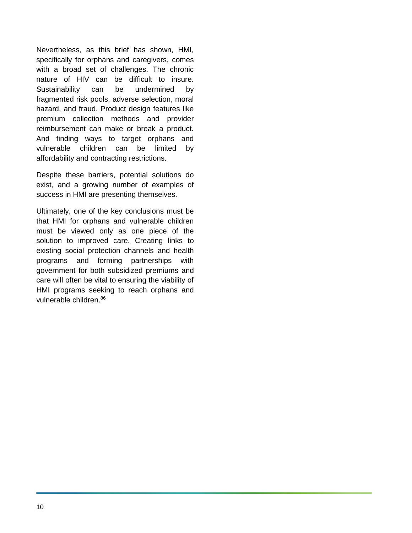Nevertheless, as this brief has shown, HMI, specifically for orphans and caregivers, comes with a broad set of challenges. The chronic nature of HIV can be difficult to insure. Sustainability can be undermined by fragmented risk pools, adverse selection, moral hazard, and fraud. Product design features like premium collection methods and provider reimbursement can make or break a product. And finding ways to target orphans and vulnerable children can be limited by affordability and contracting restrictions.

Despite these barriers, potential solutions do exist, and a growing number of examples of success in HMI are presenting themselves.

Ultimately, one of the key conclusions must be that HMI for orphans and vulnerable children must be viewed only as one piece of the solution to improved care. Creating links to existing social protection channels and health programs and forming partnerships with government for both subsidized premiums and care will often be vital to ensuring the viability of HMI programs seeking to reach orphans and vulnerable children.86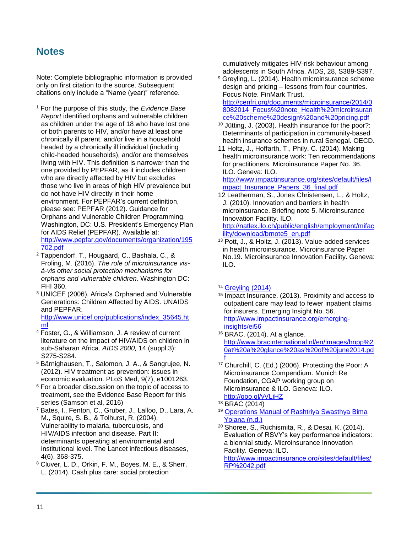## **Notes**

Note: Complete bibliographic information is provided only on first citation to the source. Subsequent citations only include a "Name (year)" reference.

- <sup>1</sup> For the purpose of this study, the *Evidence Base Report* identified orphans and vulnerable children as children under the age of 18 who have lost one or both parents to HIV, and/or have at least one chronically ill parent, and/or live in a household headed by a chronically ill individual (including child-headed households), and/or are themselves living with HIV. This definition is narrower than the one provided by PEPFAR, as it includes children who are directly affected by HIV but excludes those who live in areas of high HIV prevalence but do not have HIV directly in their home environment. For PEPFAR's current definition, please see: PEPFAR (2012). Guidance for Orphans and Vulnerable Children Programming. Washington, DC: U.S. President's Emergency Plan for AIDS Relief (PEPFAR). Available at: [http://www.pepfar.gov/documents/organization/195](http://www.pepfar.gov/documents/organization/195702.pdf) [702.pdf](http://www.pepfar.gov/documents/organization/195702.pdf)
- <sup>2</sup> Tappendorf, T., Hougaard, C., Bashala, C., & Froling, M. (2016). *The role of microinsurance visà-vis other social protection mechanisms for orphans and vulnerable children*. Washington DC: FHI 360.
- <sup>3</sup> UNICEF (2006). Africa's Orphaned and Vulnerable Generations: Children Affected by AIDS. UNAIDS and PEPFAR.

[http://www.unicef.org/publications/index\\_35645.ht](http://www.unicef.org/publications/index_35645.html) [ml](http://www.unicef.org/publications/index_35645.html)

- <sup>4</sup> Foster, G., & Williamson, J. A review of current literature on the impact of HIV/AIDS on children in sub-Saharan Africa. *AIDS 2000,* 14 (suppl.3): S275-S284.
- <sup>5</sup> Bärnighausen, T., Salomon, J. A., & Sangrujee, N. (2012). HIV treatment as prevention: issues in economic evaluation. PLoS Med, 9(7), e1001263.
- <sup>6</sup> For a broader discussion on the topic of access to treatment, see the Evidence Base Report for this series (Samson et al, 2016)
- <sup>7</sup> Bates, I., Fenton, C., Gruber, J., Lalloo, D., Lara, A. M., Squire, S. B., & Tolhurst, R. (2004). Vulnerability to malaria, tuberculosis, and HIV/AIDS infection and disease. Part II: determinants operating at environmental and institutional level. The Lancet infectious diseases, 4(6), 368-375.
- <sup>8</sup> Cluver, L. D., Orkin, F. M., Boyes, M. E., & Sherr, L. (2014). Cash plus care: social protection

cumulatively mitigates HIV-risk behaviour among adolescents in South Africa. AIDS, 28, S389-S397.

- <sup>9</sup> Greyling, L. (2014). Health microinsurance scheme design and pricing – lessons from four countries. Focus Note. FinMark Trust. [http://cenfri.org/documents/microinsurance/2014/0](http://cenfri.org/documents/microinsurance/2014/08082014_Focus%20note_Health%20microinsurance%20scheme%20design%20and%20pricing.pdf) 8082014 Focus%20note Health%20microinsuran [ce%20scheme%20design%20and%20pricing.pdf](http://cenfri.org/documents/microinsurance/2014/08082014_Focus%20note_Health%20microinsurance%20scheme%20design%20and%20pricing.pdf)
- <sup>10</sup> Jütting, J. (2003). Health insurance for the poor?: Determinants of participation in community-based health insurance schemes in rural Senegal. OECD.
- 11 Holtz, J., Hoffarth, T., Phily, C. (2014). Making health microinsurance work: Ten recommendations for practitioners. Microinsurance Paper No. 36. ILO. Geneva: ILO.

[http://www.impactinsurance.org/sites/default/files/I](http://www.impactinsurance.org/sites/default/files/Impact_Insurance_Papers_36_final.pdf) [mpact\\_Insurance\\_Papers\\_36\\_final.pdf](http://www.impactinsurance.org/sites/default/files/Impact_Insurance_Papers_36_final.pdf)

- 12 Leatherman, S., Jones Christensen, L., & Holtz, J. (2010). Innovation and barriers in health microinsurance. Briefing note 5. Microinsurance Innovation Facility. ILO. [http://natlex.ilo.ch/public/english/employment/mifac](http://natlex.ilo.ch/public/english/employment/mifacility/download/brnote5_en.pdf) [ility/download/brnote5\\_en.pdf](http://natlex.ilo.ch/public/english/employment/mifacility/download/brnote5_en.pdf)
- <sup>13</sup> Pott, J., & Holtz, J. (2013). Value-added services in health microinsurance. Microinsurance Paper No.19. Microinsurance Innovation Facility. Geneva: ILO.

#### <sup>14</sup> [Greyling \(2014\)](http://cenfri.org/documents/microinsurance/2014/08082014_Focus%20note_Health%20microinsurance%20scheme%20design%20and%20pricing.pdf)

- <sup>15</sup> Impact Insurance. (2013). Proximity and access to outpatient care may lead to fewer inpatient claims for insurers. Emerging Insight No. 56. [http://www.impactinsurance.org/emerging](http://www.impactinsurance.org/emerging-insights/ei56)[insights/ei56](http://www.impactinsurance.org/emerging-insights/ei56)
- <sup>16</sup> BRAC. (2014). At a glance. http://www.bracinternational.nl/en/images/hnpp%2 0at%20a%20glance%20as%20of%20june2014.pd f
- <sup>17</sup> Churchill, C. (Ed.) (2006). Protecting the Poor: A Microinsurance Compendium. Munich Re Foundation, CGAP working group on Microinsurance & ILO. Geneva: ILO. <http://goo.gl/yVLiHZ>
- <sup>18</sup> [BRAC](http://www.bracinternational.nl/en/images/hnpp%20at%20a%20glance%20as%20of%20june2014.pdf) (2014)
- <sup>19</sup> Operations Manual of [Rashtriya Swasthya Bima](http://www.rsby.gov.in/Documents.aspx?ID=2)  [Yojana \(n.d.\)](http://www.rsby.gov.in/Documents.aspx?ID=2)
- <sup>20</sup> Shoree, S., Ruchismita, R., & Desai, K. (2014). Evaluation of RSVY's key performance indicators: a biennial study. Microinsurance Innovation Facility. Geneva: ILO.

http://www.impactinsurance.org/sites/default/files/ RP%2042.pdf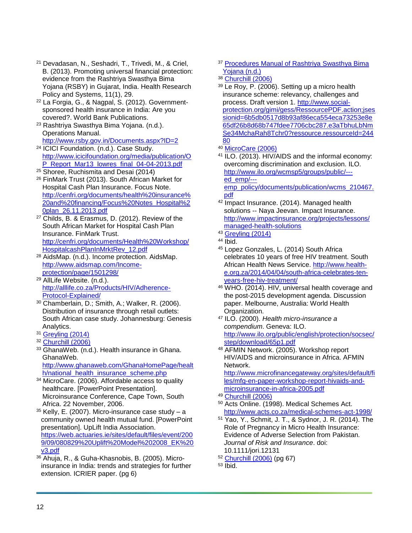- <sup>21</sup> Devadasan, N., Seshadri, T., Trivedi, M., & Criel, B. (2013). Promoting universal financial protection: evidence from the Rashtriya Swasthya Bima Yojana (RSBY) in Gujarat, India. Health Research Policy and Systems, 11(1), 29.
- <sup>22</sup> La Forgia, G., & Nagpal, S. (2012). Governmentsponsored health insurance in India: Are you covered?. World Bank Publications.
- <sup>23</sup> [Rashtriya Swasthya Bima Yojana.](http://www.rsby.gov.in/Documents.aspx?ID=2) (n.d.). Operations Manual. http://www.rsby.gov.in/Documents.aspx?ID=2
- <sup>24</sup> [ICICI Foundation. \(n.d.\). Case Study.](http://www.icicifoundation.org/media/OP_Report_Mar13_lowres_final_04-04-2013.pdf)  http://www.icicifoundation.org/media/publication/O P\_Report\_Mar13\_lowres\_final\_04-04-2013.pdf
- <sup>25</sup> Shoree, Ruchismita and Desai (2014)
- <sup>26</sup> FinMark Trust (2013). South African Market for Hospital Cash Plan Insurance. Focus Note. [http://cenfri.org/documents/health%20insurance%](http://cenfri.org/documents/health%20insurance%20and%20financing/Focus%20Notes_Hospital%20plan_26.11.2013.pdf) [20and%20financing/Focus%20Notes\\_Hospital%2](http://cenfri.org/documents/health%20insurance%20and%20financing/Focus%20Notes_Hospital%20plan_26.11.2013.pdf) [0plan\\_26.11.2013.pdf](http://cenfri.org/documents/health%20insurance%20and%20financing/Focus%20Notes_Hospital%20plan_26.11.2013.pdf)
- <sup>27</sup> Childs, B. & Erasmus, D. (2012). Review of the South African Market for Hospital Cash Plan Insurance. FinMark Trust. [http://cenfri.org/documents/Health%20Workshop/](http://cenfri.org/documents/Health%20Workshop/HospitalcashPlanInMrktRev_12.pdf) [HospitalcashPlanInMrktRev\\_12.pdf](http://cenfri.org/documents/Health%20Workshop/HospitalcashPlanInMrktRev_12.pdf)
- <sup>28</sup> AidsMap. (n.d.). Income protection. AidsMap. [http://www.aidsmap.com/Income](http://www.aidsmap.com/Income-protection/page/1501298/)[protection/page/1501298/](http://www.aidsmap.com/Income-protection/page/1501298/)
- <sup>29</sup> [AllLife Website.](http://www.alllife.co.za/Products/HIV/Adherence-Protocol-Explained/) (n.d.). http://alllife.co.za/Products/HIV/Adherence-Protocol-Explained/
- <sup>30</sup> Chamberlain, D.; Smith, A.; Walker, R. (2006). Distribution of insurance through retail outlets: South African case study. Johannesburg: Genesis Analytics.
- <sup>31</sup> [Greyling \(2014\)](http://cenfri.org/documents/microinsurance/2014/08082014_Focus%20note_Health%20microinsurance%20scheme%20design%20and%20pricing.pdf)
- <sup>32</sup> [Churchill \(2006\)](http://www.munichre-foundation.org/dms/MRS/Documents/ProtectingthepoorAmicroinsurancecompendiumFullBook.pdf)
- <sup>33</sup> GhanaWeb. (n.d.). Health insurance in Ghana. GhanaWeb. [http://www.ghanaweb.com/GhanaHomePage/healt](http://www.ghanaweb.com/GhanaHomePage/health/national_health_insurance_scheme.php) h/national health insurance scheme.php
- <sup>34</sup> MicroCare. (2006). Affordable access to quality healthcare. [PowerPoint Presentation]. Microinsurance Conference, Cape Town, South Africa. 22 November, 2006.
- $35$  Kelly, E. (2007). Micro-insurance case study a community owned health mutual fund. [PowerPoint presentation]. UpLift India Association. [https://web.actuaries.ie/sites/default/files/event/200](https://web.actuaries.ie/sites/default/files/event/2009/09/080829%20Uplift%20Model%202008_EK%20v3.pdf) [9/09/080829%20Uplift%20Model%202008\\_EK%20](https://web.actuaries.ie/sites/default/files/event/2009/09/080829%20Uplift%20Model%202008_EK%20v3.pdf) [v3.pdf](https://web.actuaries.ie/sites/default/files/event/2009/09/080829%20Uplift%20Model%202008_EK%20v3.pdf)
- <sup>36</sup> Ahuja, R., & Guha-Khasnobis, B. (2005). Microinsurance in India: trends and strategies for further extension. ICRIER paper. (pg 6)
- <sup>37</sup> Procedures Manual of Rashtriya Swasthya Bima [Yojana \(n.d.\)](http://www.rsby.gov.in/Documents.aspx?ID=2)
- <sup>38</sup> [Churchill \(2006\)](http://www.munichre-foundation.org/dms/MRS/Documents/ProtectingthepoorAmicroinsurancecompendiumFullBook.pdf)
- <sup>39</sup> Le Roy, P. (2006). Setting up a micro health insurance scheme: relevancy, challenges and process. Draft version 1. [http://www.social](http://www.social-protection.org/gimi/gess/RessourcePDF.action;jsessionid=6b5db0517d8b93af86eca554eca73253e8e65df26b8d68b747fdee7706cbc287.e3aTbhuLbNmSe34MchaRah8Tchr0?ressource.ressourceId=24480)[protection.org/gimi/gess/RessourcePDF.action;jses](http://www.social-protection.org/gimi/gess/RessourcePDF.action;jsessionid=6b5db0517d8b93af86eca554eca73253e8e65df26b8d68b747fdee7706cbc287.e3aTbhuLbNmSe34MchaRah8Tchr0?ressource.ressourceId=24480) [sionid=6b5db0517d8b93af86eca554eca73253e8e](http://www.social-protection.org/gimi/gess/RessourcePDF.action;jsessionid=6b5db0517d8b93af86eca554eca73253e8e65df26b8d68b747fdee7706cbc287.e3aTbhuLbNmSe34MchaRah8Tchr0?ressource.ressourceId=24480) [65df26b8d68b747fdee7706cbc287.e3aTbhuLbNm](http://www.social-protection.org/gimi/gess/RessourcePDF.action;jsessionid=6b5db0517d8b93af86eca554eca73253e8e65df26b8d68b747fdee7706cbc287.e3aTbhuLbNmSe34MchaRah8Tchr0?ressource.ressourceId=24480) [Se34MchaRah8Tchr0?ressource.ressourceId=244](http://www.social-protection.org/gimi/gess/RessourcePDF.action;jsessionid=6b5db0517d8b93af86eca554eca73253e8e65df26b8d68b747fdee7706cbc287.e3aTbhuLbNmSe34MchaRah8Tchr0?ressource.ressourceId=24480) [80](http://www.social-protection.org/gimi/gess/RessourcePDF.action;jsessionid=6b5db0517d8b93af86eca554eca73253e8e65df26b8d68b747fdee7706cbc287.e3aTbhuLbNmSe34MchaRah8Tchr0?ressource.ressourceId=24480)
- <sup>40</sup> [MicroCare \(2006\)](http://www.munichre-foundation.org/dms/MRS/Documents/MIC2006_Presentation_Noble_WG6.pdf)
- 41 ILO. (2013). HIV/AIDS and the informal economy: overcoming discrimination and exclusion. ILO. [http://www.ilo.org/wcmsp5/groups/public/--](http://www.ilo.org/wcmsp5/groups/public/---ed_emp/---emp_policy/documents/publication/wcms_210467.pdf) [ed\\_emp/--](http://www.ilo.org/wcmsp5/groups/public/---ed_emp/---emp_policy/documents/publication/wcms_210467.pdf) [emp\\_policy/documents/publication/wcms\\_210467.](http://www.ilo.org/wcmsp5/groups/public/---ed_emp/---emp_policy/documents/publication/wcms_210467.pdf) [pdf](http://www.ilo.org/wcmsp5/groups/public/---ed_emp/---emp_policy/documents/publication/wcms_210467.pdf)
- 42 Impact Insurance. (2014). Managed health solutions -- Naya Jeevan. Impact Insurance. [http://www.impactinsurance.org/projects/lessons/](http://www.impactinsurance.org/projects/lessons/managed-health-solutions) [managed-health-solutions](http://www.impactinsurance.org/projects/lessons/managed-health-solutions)
- <sup>43</sup> [Greyling \(2014\)](http://cenfri.org/documents/microinsurance/2014/08082014_Focus%20note_Health%20microinsurance%20scheme%20design%20and%20pricing.pdf)
- <sup>44</sup> Ibid.
- <sup>45</sup> Lopez Gonzales, L. (2014) South Africa celebrates 10 years of free HIV treatment. South African Health News Service. [http://www.health](http://www.health-e.org.za/2014/04/04/south-africa-celebrates-ten-years-free-hiv-treatment/)[e.org.za/2014/04/04/south-africa-celebrates-ten](http://www.health-e.org.za/2014/04/04/south-africa-celebrates-ten-years-free-hiv-treatment/)[years-free-hiv-treatment/](http://www.health-e.org.za/2014/04/04/south-africa-celebrates-ten-years-free-hiv-treatment/)
- <sup>46</sup> WHO. (2014). HIV, universal health coverage and the post-2015 development agenda. Discussion paper. Melbourne, Australia: World Health Organization.
- <sup>47</sup> ILO. (2000). *Health micro-insurance a compendium*. Geneva: ILO. [http://www.ilo.org/public/english/protection/socsec/](http://www.ilo.org/public/english/protection/socsec/step/download/65p1.pdf) [step/download/65p1.pdf](http://www.ilo.org/public/english/protection/socsec/step/download/65p1.pdf)
- <sup>48</sup> AFMIN Network. (2005). Workshop report HIV/AIDS and microinsurance in Africa. AFMIN Network.

[http://www.microfinancegateway.org/sites/default/fi](http://www.microfinancegateway.org/sites/default/files/mfg-en-paper-workshop-report-hivaids-and-microinsurance-in-africa-2005.pdf) [les/mfg-en-paper-workshop-report-hivaids-and](http://www.microfinancegateway.org/sites/default/files/mfg-en-paper-workshop-report-hivaids-and-microinsurance-in-africa-2005.pdf)[microinsurance-in-africa-2005.pdf](http://www.microfinancegateway.org/sites/default/files/mfg-en-paper-workshop-report-hivaids-and-microinsurance-in-africa-2005.pdf)

- <sup>49</sup> [Churchill \(2006\)](http://www.munichre-foundation.org/dms/MRS/Documents/ProtectingthepoorAmicroinsurancecompendiumFullBook.pdf)
- <sup>50</sup> Acts Online. (1998). Medical Schemes Act. <http://www.acts.co.za/medical-schemes-act-1998/>
- <sup>51</sup> Yao, Y., Schmit, J. T., & Sydnor, J. R. (2014). The Role of Pregnancy in Micro Health Insurance: Evidence of Adverse Selection from Pakistan*. Journal of Risk and Insurance*. doi: 10.1111/jori.12131
- <sup>52</sup> [Churchill \(2006\)](http://www.munichre-foundation.org/dms/MRS/Documents/ProtectingthepoorAmicroinsurancecompendiumFullBook.pdf) (pg 67)
- $53$  Ibid.